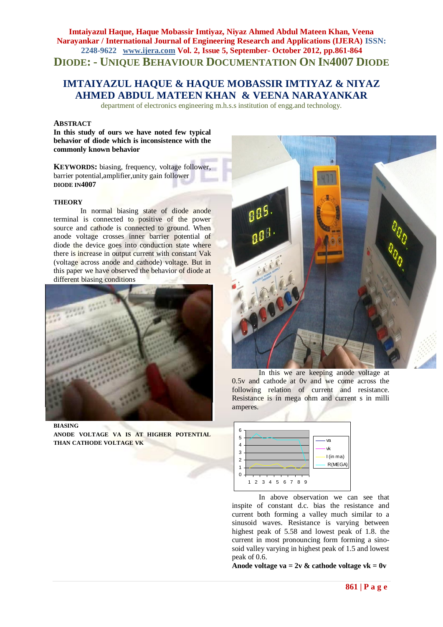## **Imtaiyazul Haque, Haque Mobassir Imtiyaz, Niyaz Ahmed Abdul Mateen Khan, Veena Narayankar / International Journal of Engineering Research and Applications (IJERA) ISSN: 2248-9622 www.ijera.com Vol. 2, Issue 5, September- October 2012, pp.861-864 DIODE: - UNIQUE BEHAVIOUR DOCUMENTATION ON IN4007 DIODE**

# **IMTAIYAZUL HAQUE & HAQUE MOBASSIR IMTIYAZ & NIYAZ AHMED ABDUL MATEEN KHAN & VEENA NARAYANKAR**

department of electronics engineering m.h.s.s institution of engg.and technology.

### **ABSTRACT**

**In this study of ours we have noted few typical behavior of diode which is inconsistence with the commonly known behavior** 

**KEYWORDS:** biasing, frequency, voltage follower, barrier potential,amplifier,unity gain follower **DIODE IN4007**

#### **THEORY**

In normal biasing state of diode anode terminal is connected to positive of the power source and cathode is connected to ground. When anode voltage crosses inner barrier potential of diode the device goes into conduction state where there is increase in output current with constant Vak (voltage across anode and cathode) voltage. But in this paper we have observed the behavior of diode at different biasing conditions



**BIASING ANODE VOLTAGE VA IS AT HIGHER POTENTIAL THAN CATHODE VOLTAGE VK**



In this we are keeping anode voltage at 0.5v and cathode at 0v and we come across the following relation of current and resistance. Resistance is in mega ohm and current s in milli amperes.



In above observation we can see that inspite of constant d.c. bias the resistance and current both forming a valley much similar to a sinusoid waves. Resistance is varying between highest peak of 5.58 and lowest peak of 1.8. the current in most pronouncing form forming a sinosoid valley varying in highest peak of 1.5 and lowest peak of 0.6.

Anode voltage va =  $2v$  & cathode voltage vk =  $0v$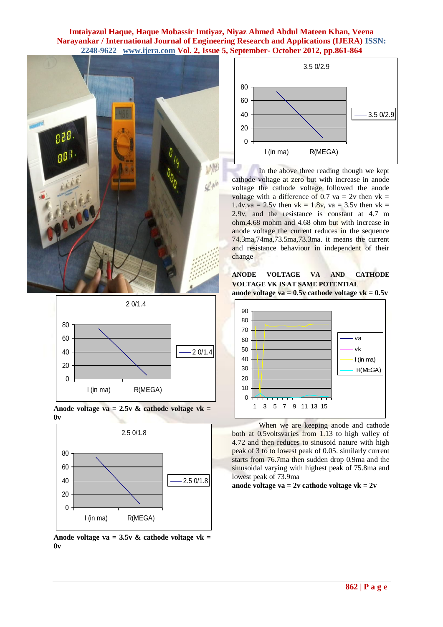### **Imtaiyazul Haque, Haque Mobassir Imtiyaz, Niyaz Ahmed Abdul Mateen Khan, Veena Narayankar / International Journal of Engineering Research and Applications (IJERA) ISSN: 2248-9622 www.ijera.com Vol. 2, Issue 5, September- October 2012, pp.861-864**









**Anode voltage va = 3.5v & cathode voltage vk = 0v**



In the above three reading though we kept cathode voltage at zero but with increase in anode voltage the cathode voltage followed the anode voltage with a difference of 0.7 va = 2v then  $vk =$ 1.4v,va = 2.5v then vk = 1.8v, va = 3.5v then vk = 2.9v, and the resistance is constant at 4.7 m ohm,4.68 mohm and 4.68 ohm but with increase in anode voltage the current reduces in the sequence 74.3ma,74ma,73.5ma,73.3ma. it means the current and resistance behaviour in independent of their change

**ANODE VOLTAGE VA AND CATHODE VOLTAGE VK IS AT SAME POTENTIAL anode voltage va = 0.5v cathode voltage vk = 0.5v**



When we are keeping anode and cathode both at 0.5voltsvaries from 1.13 to high valley of 4.72 and then reduces to sinusoid nature with high peak of 3 to to lowest peak of 0.05. similarly current starts from 76.7ma then sudden drop 0.9ma and the sinusoidal varying with highest peak of 75.8ma and lowest peak of 73.9ma

#### **anode voltage va = 2v cathode voltage vk = 2v**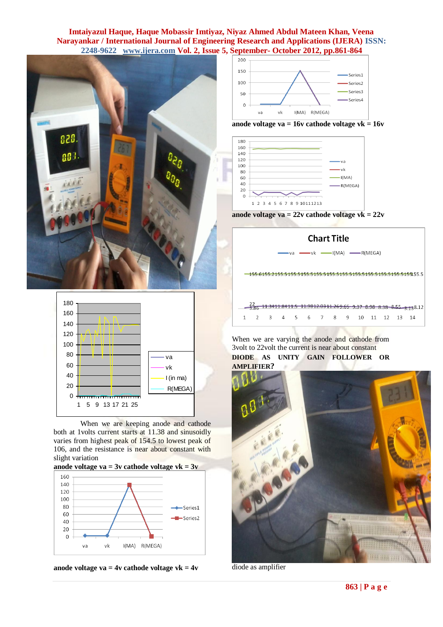### **Imtaiyazul Haque, Haque Mobassir Imtiyaz, Niyaz Ahmed Abdul Mateen Khan, Veena Narayankar / International Journal of Engineering Research and Applications (IJERA) ISSN: 2248-9622 www.ijera.com Vol. 2, Issue 5, September- October 2012, pp.861-864**





When we are keeping anode and cathode both at 1volts current starts at 11.38 and sinusoidly varies from highest peak of 154.5 to lowest peak of 106, and the resistance is near about constant with slight variation









**anode voltage va = 16v cathode voltage vk = 16v**







When we are varying the anode and cathode from 3volt to 22volt the current is near about constant **DIODE AS UNITY GAIN FOLLOWER OR AMPLIFIER?**



diode as amplifier